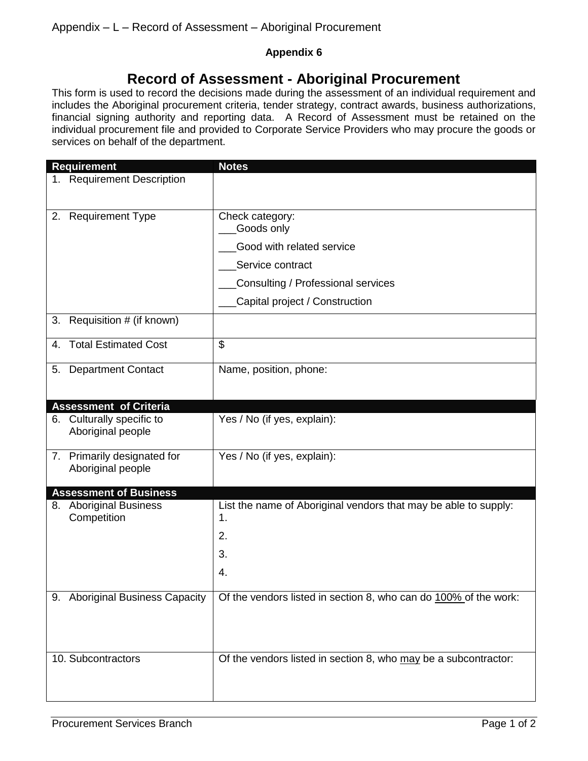## **Appendix 6**

## **Record of Assessment - Aboriginal Procurement**

This form is used to record the decisions made during the assessment of an individual requirement and includes the Aboriginal procurement criteria, tender strategy, contract awards, business authorizations, financial signing authority and reporting data. A Record of Assessment must be retained on the individual procurement file and provided to Corporate Service Providers who may procure the goods or services on behalf of the department.

| <b>Requirement</b>                               | <b>Notes</b>                                                                                                         |
|--------------------------------------------------|----------------------------------------------------------------------------------------------------------------------|
| 1. Requirement Description                       |                                                                                                                      |
| 2. Requirement Type                              | Check category:<br>Goods only<br>Good with related service<br>Service contract<br>Consulting / Professional services |
|                                                  | Capital project / Construction                                                                                       |
| Requisition # (if known)<br>3.                   |                                                                                                                      |
| <b>Total Estimated Cost</b><br>4.                | \$                                                                                                                   |
| 5. Department Contact                            | Name, position, phone:                                                                                               |
| <b>Assessment of Criteria</b>                    |                                                                                                                      |
| 6. Culturally specific to<br>Aboriginal people   | Yes / No (if yes, explain):                                                                                          |
| 7. Primarily designated for<br>Aboriginal people | Yes / No (if yes, explain):                                                                                          |
| <b>Assessment of Business</b>                    |                                                                                                                      |
| 8. Aboriginal Business<br>Competition            | List the name of Aboriginal vendors that may be able to supply:<br>1.<br>2.<br>3.<br>4.                              |
|                                                  |                                                                                                                      |
| 9. Aboriginal Business Capacity                  | Of the vendors listed in section 8, who can do 100% of the work:                                                     |
| 10. Subcontractors                               | Of the vendors listed in section 8, who may be a subcontractor:                                                      |